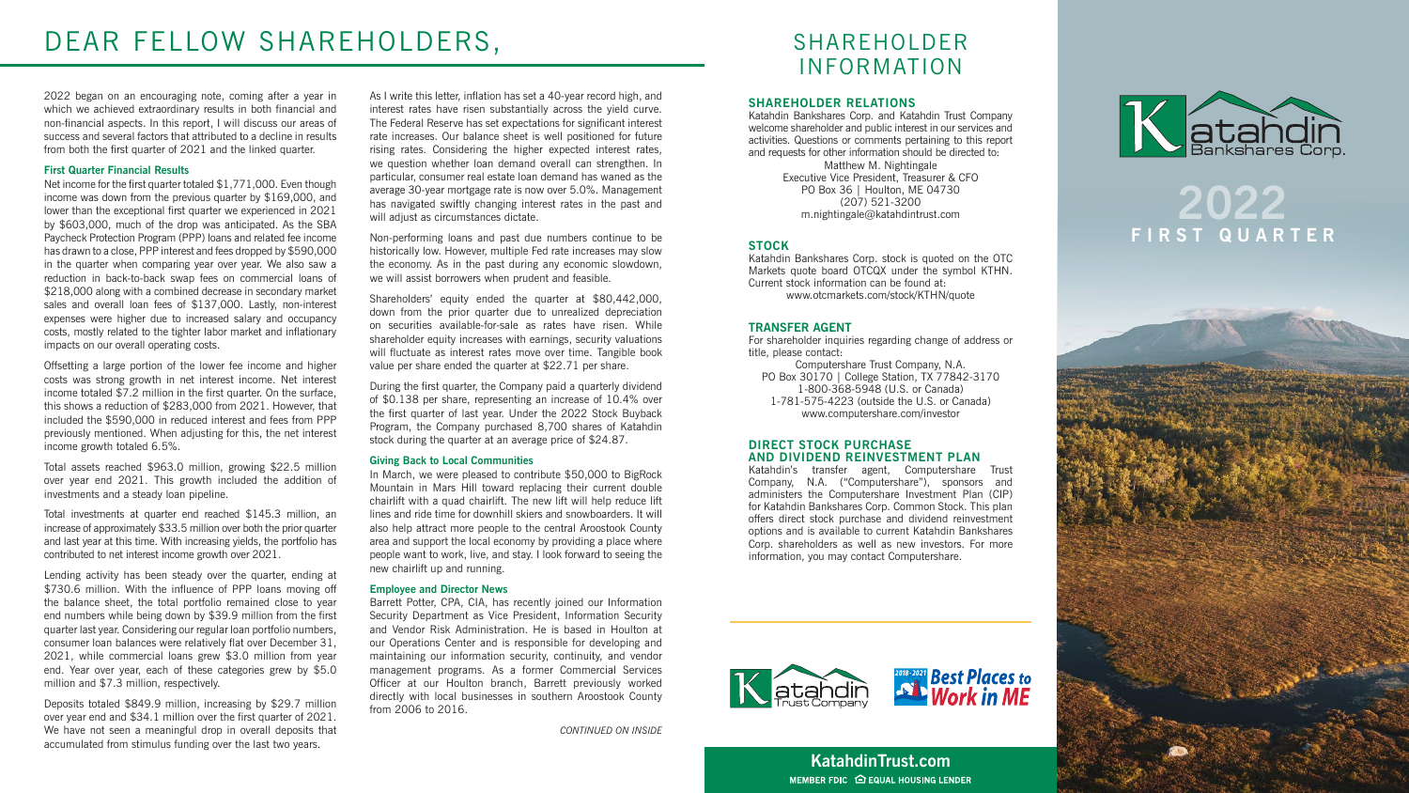2022 began on an encouraging note, coming after a year in which we achieved extraordinary results in both financial and non-financial aspects. In this report, I will discuss our areas of success and several factors that attributed to a decline in results from both the first quarter of 2021 and the linked quarter.

### **First Quarter Financial Results**

Net income for the first quarter totaled \$1,771,000. Even though income was down from the previous quarter by \$169,000, and lower than the exceptional first quarter we experienced in 2021 by \$603,000, much of the drop was anticipated. As the SBA Paycheck Protection Program (PPP) loans and related fee income has drawn to a close, PPP interest and fees dropped by \$590,000 in the quarter when comparing year over year. We also saw a reduction in back-to-back swap fees on commercial loans of \$218,000 along with a combined decrease in secondary market sales and overall loan fees of \$137,000. Lastly, non-interest expenses were higher due to increased salary and occupancy costs, mostly related to the tighter labor market and inflationary impacts on our overall operating costs.

Offsetting a large portion of the lower fee income and higher costs was strong growth in net interest income. Net interest income totaled \$7.2 million in the first quarter. On the surface, this shows a reduction of \$283,000 from 2021. However, that included the \$590,000 in reduced interest and fees from PPP previously mentioned. When adjusting for this, the net interest income growth totaled 6.5%.

As I write this letter, inflation has set a 40-year record high, and interest rates have risen substantially across the yield curve. The Federal Reserve has set expectations for significant interest rate increases. Our balance sheet is well positioned for future rising rates. Considering the higher expected interest rates, we question whether loan demand overall can strengthen. In particular, consumer real estate loan demand has waned as the average 30-year mortgage rate is now over 5.0%. Management has navigated swiftly changing interest rates in the past and will adjust as circumstances dictate.

Total assets reached \$963.0 million, growing \$22.5 million over year end 2021. This growth included the addition of investments and a steady loan pipeline.

Total investments at quarter end reached \$145.3 million, an increase of approximately \$33.5 million over both the prior quarter and last year at this time. With increasing yields, the portfolio has contributed to net interest income growth over 2021.

Lending activity has been steady over the quarter, ending at \$730.6 million. With the influence of PPP loans moving off the balance sheet, the total portfolio remained close to year end numbers while being down by \$39.9 million from the first quarter last year. Considering our regular loan portfolio numbers, consumer loan balances were relatively flat over December 31, 2021, while commercial loans grew \$3.0 million from year end. Year over year, each of these categories grew by \$5.0 million and \$7.3 million, respectively.

Deposits totaled \$849.9 million, increasing by \$29.7 million over year end and \$34.1 million over the first quarter of 2021. We have not seen a meaningful drop in overall deposits that accumulated from stimulus funding over the last two years.

> **KatahdinTrust.com** MEMBER FDIC **O** EQUAL HOUSING LENDER



Non-performing loans and past due numbers continue to be historically low. However, multiple Fed rate increases may slow the economy. As in the past during any economic slowdown, we will assist borrowers when prudent and feasible.

Shareholders' equity ended the quarter at \$80,442,000, down from the prior quarter due to unrealized depreciation on securities available-for-sale as rates have risen. While shareholder equity increases with earnings, security valuations will fluctuate as interest rates move over time. Tangible book value per share ended the quarter at \$22.71 per share.

During the first quarter, the Company paid a quarterly dividend of \$0.138 per share, representing an increase of 10.4% over the first quarter of last year. Under the 2022 Stock Buyback Program, the Company purchased 8,700 shares of Katahdin stock during the quarter at an average price of \$24.87.

### **Giving Back to Local Communities**

In March, we were pleased to contribute \$50,000 to BigRock Mountain in Mars Hill toward replacing their current double chairlift with a quad chairlift. The new lift will help reduce lift lines and ride time for downhill skiers and snowboarders. It will also help attract more people to the central Aroostook County area and support the local economy by providing a place where people want to work, live, and stay. I look forward to seeing the new chairlift up and running.

### **Employee and Director News**

Barrett Potter, CPA, CIA, has recently joined our Information Security Department as Vice President, Information Security and Vendor Risk Administration. He is based in Houlton at our Operations Center and is responsible for developing and maintaining our information security, continuity, and vendor management programs. As a former Commercial Services Officer at our Houlton branch, Barrett previously worked directly with local businesses in southern Aroostook County from 2006 to 2016.

*CONTINUED ON INSIDE*

## **2022 FIRST QUARTER**





## SHAREHOLDER INFORMATION

### **SHAREHOLDER RELATIONS**

Katahdin Bankshares Corp. and Katahdin Trust Company welcome shareholder and public interest in our services and activities. Questions or comments pertaining to this report and requests for other information should be directed to: Matthew M. Nightingale Executive Vice President, Treasurer & CFO PO Box 36 | Houlton, ME 04730 (207) 521-3200 m.nightingale@katahdintrust.com

### **STOCK**

Katahdin Bankshares Corp. stock is quoted on the OTC Markets quote board OTCQX under the symbol KTHN. Current stock information can be found at: www.otcmarkets.com/stock/KTHN/quote

### **TRANSFER AGENT**

For shareholder inquiries regarding change of address or title, please contact:

Computershare Trust Company, N.A. PO Box 30170 | College Station, TX 77842-3170 1-800-368-5948 (U.S. or Canada) 1-781-575-4223 (outside the U.S. or Canada) www.computershare.com/investor

### **DIRECT STOCK PURCHASE AND DIVIDEND REINVESTMENT PLAN**

Katahdin's transfer agent, Computershare Trust Company, N.A. ("Computershare"), sponsors and administers the Computershare Investment Plan (CIP) for Katahdin Bankshares Corp. Common Stock. This plan offers direct stock purchase and dividend reinvestment options and is available to current Katahdin Bankshares Corp. shareholders as well as new investors. For more information, you may contact Computershare.